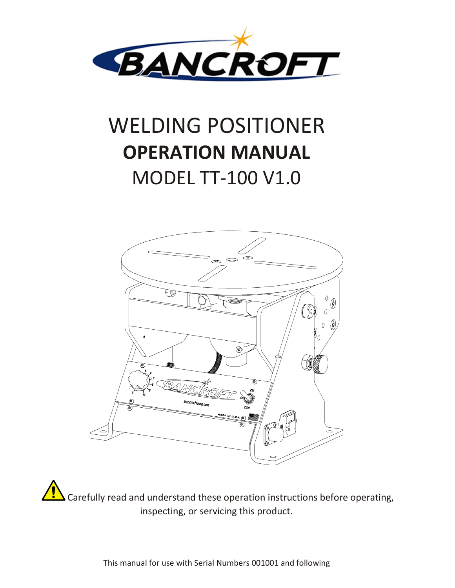

# WELDING POSITIONER **OPERATION MANUAL**  MODEL TT-100 V1.0



Carefully read and understand these operation instructions before operating, inspecting, or servicing this product.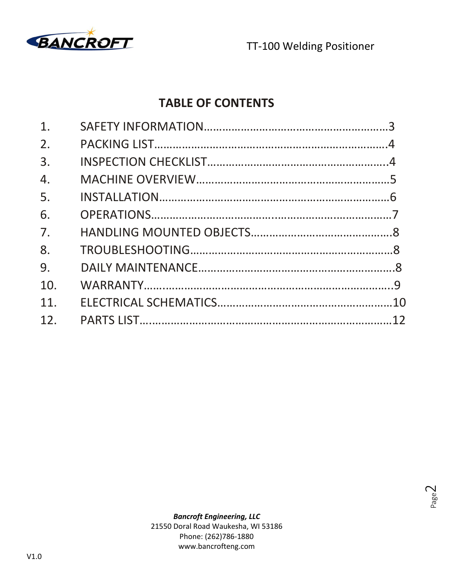

### **TABLE OF CONTENTS**

| 1.              |  |
|-----------------|--|
| 2.              |  |
| 3.              |  |
| 4.              |  |
| 5.              |  |
| 6.              |  |
| 7.              |  |
| 8.              |  |
| 9.              |  |
| 10.             |  |
| 11.             |  |
| 12 <sub>1</sub> |  |
|                 |  |

Page  $\mathrel{\sim}$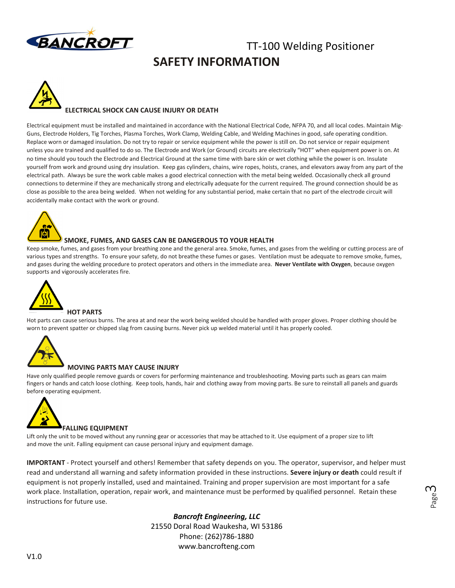

### TT-100 Welding Positioner **SAFETY INFORMATION**



#### **ELECTRICAL SHOCK CAN CAUSE INJURY OR DEATH**

Electrical equipment must be installed and maintained in accordance with the National Electrical Code, NFPA 70, and all local codes. Maintain Mig-Guns, Electrode Holders, Tig Torches, Plasma Torches, Work Clamp, Welding Cable, and Welding Machines in good, safe operating condition. Replace worn or damaged insulation. Do not try to repair or service equipment while the power is still on. Do not service or repair equipment unless you are trained and qualified to do so. The Electrode and Work (or Ground) circuits are electrically "HOT" when equipment power is on. At no time should you touch the Electrode and Electrical Ground at the same time with bare skin or wet clothing while the power is on. Insulate yourself from work and ground using dry insulation. Keep gas cylinders, chains, wire ropes, hoists, cranes, and elevators away from any part of the electrical path. Always be sure the work cable makes a good electrical connection with the metal being welded. Occasionally check all ground connections to determine if they are mechanically strong and electrically adequate for the current required. The ground connection should be as close as possible to the area being welded. When not welding for any substantial period, make certain that no part of the electrode circuit will accidentally make contact with the work or ground.



#### **SMOKE, FUMES, AND GASES CAN BE DANGEROUS TO YOUR HEALTH**

Keep smoke, fumes, and gases from your breathing zone and the general area. Smoke, fumes, and gases from the welding or cutting process are of various types and strengths. To ensure your safety, do not breathe these fumes or gases. Ventilation must be adequate to remove smoke, fumes, and gases during the welding procedure to protect operators and others in the immediate area. **Never Ventilate with Oxygen**, because oxygen supports and vigorously accelerates fire.



#### **HOT PARTS**

Hot parts can cause serious burns. The area at and near the work being welded should be handled with proper gloves. Proper clothing should be worn to prevent spatter or chipped slag from causing burns. Never pick up welded material until it has properly cooled.



#### **MOVING PARTS MAY CAUSE INJURY**

Have only qualified people remove guards or covers for performing maintenance and troubleshooting. Moving parts such as gears can maim fingers or hands and catch loose clothing. Keep tools, hands, hair and clothing away from moving parts. Be sure to reinstall all panels and guards before operating equipment.



Lift only the unit to be moved without any running gear or accessories that may be attached to it. Use equipment of a proper size to lift and move the unit. Falling equipment can cause personal injury and equipment damage.

**IMPORTANT** - Protect yourself and others! Remember that safety depends on you. The operator, supervisor, and helper must read and understand all warning and safety information provided in these instructions. **Severe injury or death** could result if equipment is not properly installed, used and maintained. Training and proper supervision are most important for a safe work place. Installation, operation, repair work, and maintenance must be performed by qualified personnel. Retain these instructions for future use.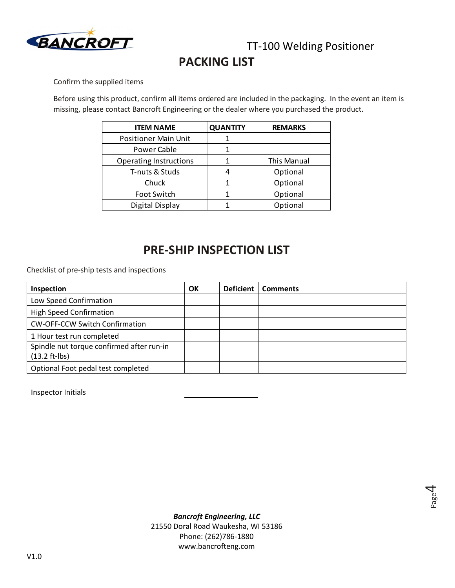

### **PACKING LIST**

Confirm the supplied items

Before using this product, confirm all items ordered are included in the packaging. In the event an item is missing, please contact Bancroft Engineering or the dealer where you purchased the product.

| <b>ITEM NAME</b>              | <b>QUANTITY</b> | <b>REMARKS</b> |
|-------------------------------|-----------------|----------------|
| <b>Positioner Main Unit</b>   |                 |                |
| Power Cable                   |                 |                |
| <b>Operating Instructions</b> |                 | This Manual    |
| T-nuts & Studs                |                 | Optional       |
| Chuck                         |                 | Optional       |
| Foot Switch                   |                 | Optional       |
| Digital Display               |                 | Optional       |

### **PRE-SHIP INSPECTION LIST**

Checklist of pre-ship tests and inspections

| Inspection                                | OK | <b>Deficient</b> | <b>Comments</b> |
|-------------------------------------------|----|------------------|-----------------|
| Low Speed Confirmation                    |    |                  |                 |
| <b>High Speed Confirmation</b>            |    |                  |                 |
| <b>CW-OFF-CCW Switch Confirmation</b>     |    |                  |                 |
| 1 Hour test run completed                 |    |                  |                 |
| Spindle nut torque confirmed after run-in |    |                  |                 |
| $(13.2 ft-lbs)$                           |    |                  |                 |
| Optional Foot pedal test completed        |    |                  |                 |

Inspector Initials

Page 4

*Bancroft Engineering, LLC*  21550 Doral Road Waukesha, WI 53186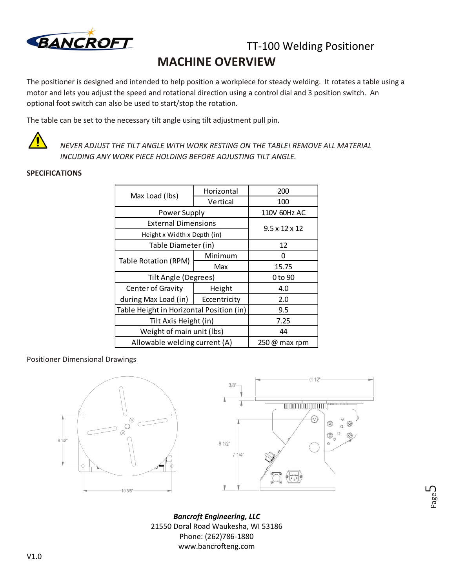

### TT-100 Welding Positioner **MACHINE OVERVIEW**

The positioner is designed and intended to help position a workpiece for steady welding. It rotates a table using a motor and lets you adjust the speed and rotational direction using a control dial and 3 position switch. An optional foot switch can also be used to start/stop the rotation.

The table can be set to the necessary tilt angle using tilt adjustment pull pin.



*NEVER ADJUST THE TILT ANGLE WITH WORK RESTING ON THE TABLE! REMOVE ALL MATERIAL INCUDING ANY WORK PIECE HOLDING BEFORE ADJUSTING TILT ANGLE.*

#### **SPECIFICATIONS**

| Max Load (lbs)                           | Horizontal                | 200   |
|------------------------------------------|---------------------------|-------|
|                                          | Vertical                  | 100   |
| Power Supply                             | 110V 60Hz AC              |       |
| <b>External Dimensions</b>               | $9.5 \times 12 \times 12$ |       |
| Height x Width x Depth (in)              |                           |       |
| Table Diameter (in)                      | 12                        |       |
| <b>Table Rotation (RPM)</b>              | Minimum                   | ი     |
|                                          | Max                       | 15.75 |
| Tilt Angle (Degrees)                     | 0 to 90                   |       |
| Center of Gravity                        | Height                    | 4.0   |
| during Max Load (in)                     | Eccentricity              | 2.0   |
| Table Height in Horizontal Position (in) | 9.5                       |       |
| Tilt Axis Height (in)                    | 7.25                      |       |
| Weight of main unit (lbs)                | 44                        |       |
| Allowable welding current (A)            | $250 \omega$ max rpm      |       |

#### Positioner Dimensional Drawings





Page ഥ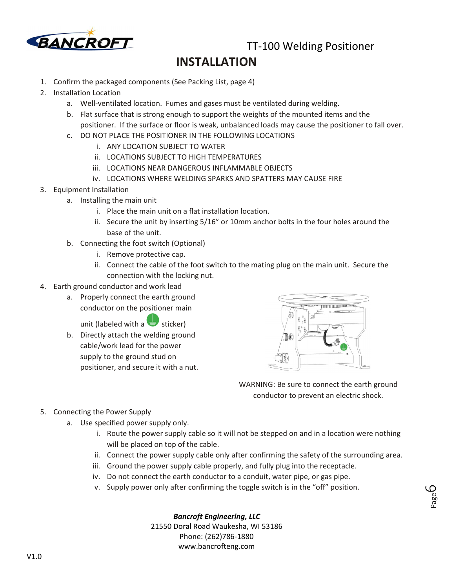

TT-100 Welding Positioner

### **INSTALLATION**

- 1. Confirm the packaged components (See Packing List, page 4)
- 2. Installation Location
	- a. Well-ventilated location. Fumes and gases must be ventilated during welding.
	- b. Flat surface that is strong enough to support the weights of the mounted items and the positioner. If the surface or floor is weak, unbalanced loads may cause the positioner to fall over.
	- c. DO NOT PLACE THE POSITIONER IN THE FOLLOWING LOCATIONS
		- i. ANY LOCATION SUBJECT TO WATER
		- ii. LOCATIONS SUBJECT TO HIGH TEMPERATURES
		- iii. LOCATIONS NEAR DANGEROUS INFLAMMABLE OBJECTS
		- iv. LOCATIONS WHERE WELDING SPARKS AND SPATTERS MAY CAUSE FIRE
- 3. Equipment Installation
	- a. Installing the main unit
		- i. Place the main unit on a flat installation location.
		- ii. Secure the unit by inserting 5/16" or 10mm anchor bolts in the four holes around the base of the unit.
	- b. Connecting the foot switch (Optional)
		- i. Remove protective cap.
		- ii. Connect the cable of the foot switch to the mating plug on the main unit. Secure the connection with the locking nut.
- 4. Earth ground conductor and work lead
	- a. Properly connect the earth ground conductor on the positioner main

unit (labeled with a sticker)

b. Directly attach the welding ground cable/work lead for the power supply to the ground stud on positioner, and secure it with a nut.



WARNING: Be sure to connect the earth ground conductor to prevent an electric shock.

> Page ص

- 5. Connecting the Power Supply
	- a. Use specified power supply only.
		- i. Route the power supply cable so it will not be stepped on and in a location were nothing will be placed on top of the cable.
		- ii. Connect the power supply cable only after confirming the safety of the surrounding area.
		- iii. Ground the power supply cable properly, and fully plug into the receptacle.
		- iv. Do not connect the earth conductor to a conduit, water pipe, or gas pipe.
		- v. Supply power only after confirming the toggle switch is in the "off" position.

#### *Bancroft Engineering, LLC*

21550 Doral Road Waukesha, WI 53186 Phone: (262)786-1880 www.bancrofteng.com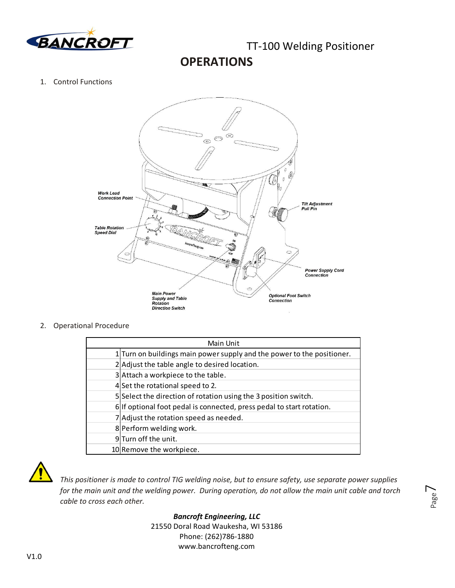

### **OPERATIONS**

#### 1. Control Functions



2. Operational Procedure

| Main Unit |                                                                        |  |  |
|-----------|------------------------------------------------------------------------|--|--|
|           | 1 Turn on buildings main power supply and the power to the positioner. |  |  |
|           | 2 Adjust the table angle to desired location.                          |  |  |
|           | 3 Attach a workpiece to the table.                                     |  |  |
|           | 4 Set the rotational speed to 2.                                       |  |  |
|           | 5 Select the direction of rotation using the 3 position switch.        |  |  |
|           | 6 If optional foot pedal is connected, press pedal to start rotation.  |  |  |
|           | 7 Adjust the rotation speed as needed.                                 |  |  |
|           | 8 Perform welding work.                                                |  |  |
|           | 9Turn off the unit.                                                    |  |  |
|           | 10 Remove the workpiece.                                               |  |  |



*This positioner is made to control TIG welding noise, but to ensure safety, use separate power supplies for the main unit and the welding power. During operation, do not allow the main unit cable and torch cable to cross each other.* 

Page  $\overline{\phantom{1}}$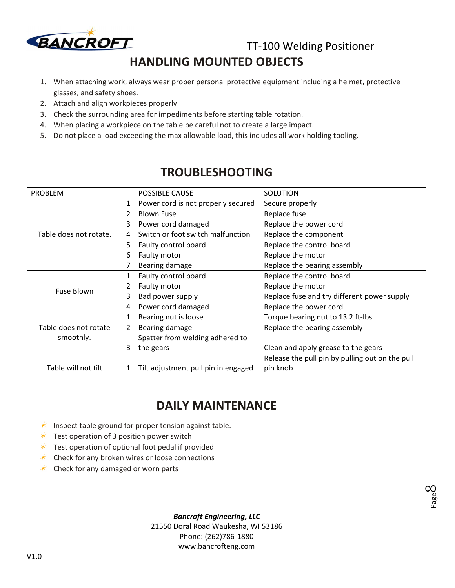

TT-100 Welding Positioner

Page  $\infty$ 

### **HANDLING MOUNTED OBJECTS**

- 1. When attaching work, always wear proper personal protective equipment including a helmet, protective glasses, and safety shoes.
- 2. Attach and align workpieces properly
- 3. Check the surrounding area for impediments before starting table rotation.
- 4. When placing a workpiece on the table be careful not to create a large impact.
- 5. Do not place a load exceeding the max allowable load, this includes all work holding tooling.

| <b>PROBLEM</b>                                                  |    | <b>POSSIBLE CAUSE</b>              | SOLUTION                                        |
|-----------------------------------------------------------------|----|------------------------------------|-------------------------------------------------|
|                                                                 | 1  | Power cord is not properly secured | Secure properly                                 |
|                                                                 |    | <b>Blown Fuse</b>                  | Replace fuse                                    |
|                                                                 | 3  | Power cord damaged                 | Replace the power cord                          |
| Table does not rotate.                                          | 4  | Switch or foot switch malfunction  | Replace the component                           |
|                                                                 | 5. | Faulty control board               | Replace the control board                       |
|                                                                 | 6  | Faulty motor                       | Replace the motor                               |
|                                                                 |    | Bearing damage                     | Replace the bearing assembly                    |
|                                                                 | 1  | Faulty control board               | Replace the control board                       |
| <b>Fuse Blown</b>                                               |    | Faulty motor                       | Replace the motor                               |
|                                                                 | 3  | Bad power supply                   | Replace fuse and try different power supply     |
|                                                                 | 4  | Power cord damaged                 | Replace the power cord                          |
|                                                                 | 1  | Bearing nut is loose               | Torque bearing nut to 13.2 ft-lbs               |
| Table does not rotate<br>smoothly.                              |    | Bearing damage                     | Replace the bearing assembly                    |
|                                                                 |    | Spatter from welding adhered to    |                                                 |
|                                                                 | 3  | the gears                          | Clean and apply grease to the gears             |
|                                                                 |    |                                    | Release the pull pin by pulling out on the pull |
| Table will not tilt<br>Tilt adjustment pull pin in engaged<br>1 |    |                                    | pin knob                                        |

### **TROUBLESHOOTING**

### **DAILY MAINTENANCE**

- $*$  Inspect table ground for proper tension against table.
- $*$  Test operation of 3 position power switch
- $\star$  Test operation of optional foot pedal if provided
- $*$  Check for any broken wires or loose connections
- $\star$  Check for any damaged or worn parts

*Bancroft Engineering, LLC* 

21550 Doral Road Waukesha, WI 53186 Phone: (262)786-1880 www.bancrofteng.com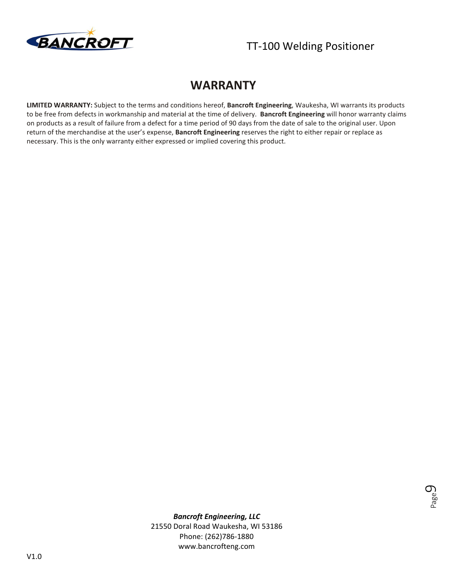

#### **WARRANTY**

**LIMITED WARRANTY:** Subject to the terms and conditions hereof, **Bancroft Engineering**, Waukesha, WI warrants its products to be free from defects in workmanship and material at the time of delivery. **Bancroft Engineering** will honor warranty claims on products as a result of failure from a defect for a time period of 90 days from the date of sale to the original user. Upon return of the merchandise at the user's expense, **Bancroft Engineering** reserves the right to either repair or replace as necessary. This is the only warranty either expressed or implied covering this product.



*Bancroft Engineering, LLC*  21550 Doral Road Waukesha, WI 53186

Phone: (262)786-1880 www.bancrofteng.com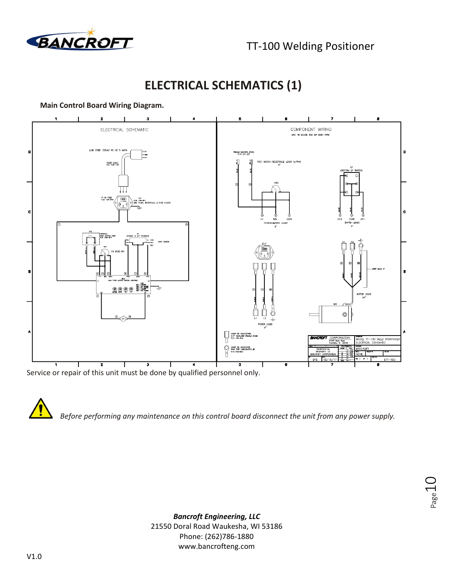

### **ELECTRICAL SCHEMATICS (1)**

#### **Main Control Board Wiring Diagram.**



Service or repair of this unit must be done by qualified personnel only.

*Before performing any maintenance on this control board disconnect the unit from any power supply.* 

Page 1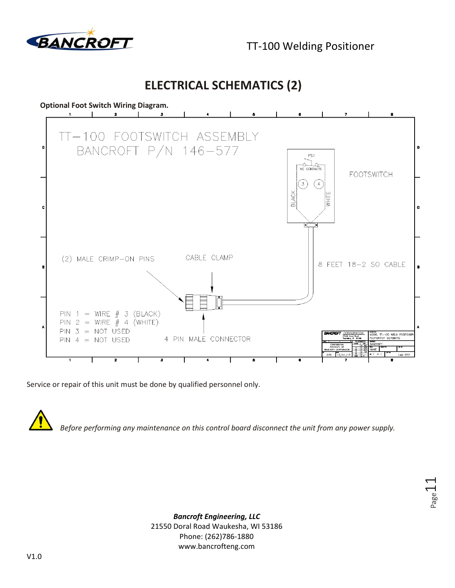

TT-100 Welding Positioner

Page.

**ELECTRICAL SCHEMATICS (2)** 



Service or repair of this unit must be done by qualified personnel only.



*Before performing any maintenance on this control board disconnect the unit from any power supply.*